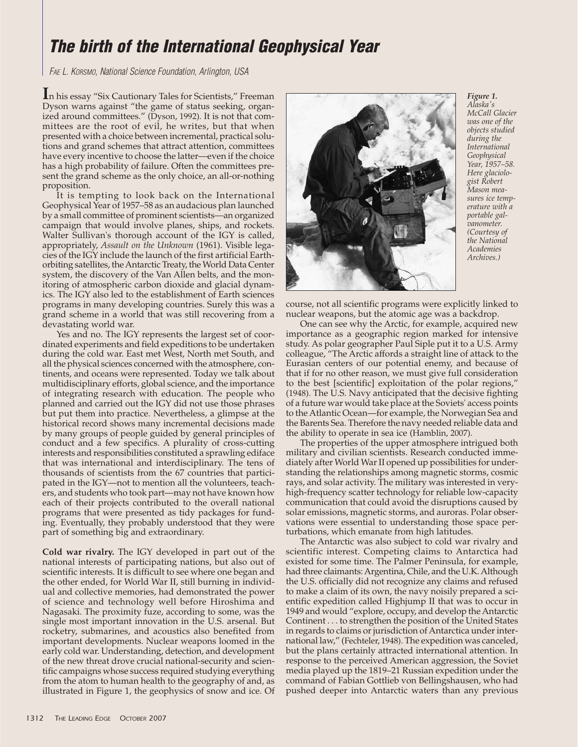## **The birth of the International Geophysical Year**

FAE L. KORSMO, National Science Foundation, Arlington, USA

**I**n his essay "Six Cautionary Tales for Scientists," Freeman Dyson warns against "the game of status seeking, organized around committees." (Dyson, 1992). It is not that committees are the root of evil, he writes, but that when presented with a choice between incremental, practical solutions and grand schemes that attract attention, committees have every incentive to choose the latter—even if the choice has a high probability of failure. Often the committees present the grand scheme as the only choice, an all-or-nothing proposition.

It is tempting to look back on the International Geophysical Year of 1957–58 as an audacious plan launched by a small committee of prominent scientists—an organized campaign that would involve planes, ships, and rockets. Walter Sullivan's thorough account of the IGY is called, appropriately, *Assault on the Unknown* (1961). Visible legacies of the IGY include the launch of the first artificial Earthorbiting satellites, the Antarctic Treaty, the World Data Center system, the discovery of the Van Allen belts, and the monitoring of atmospheric carbon dioxide and glacial dynamics. The IGY also led to the establishment of Earth sciences programs in many developing countries. Surely this was a grand scheme in a world that was still recovering from a devastating world war.

Yes and no. The IGY represents the largest set of coordinated experiments and field expeditions to be undertaken during the cold war. East met West, North met South, and all the physical sciences concerned with the atmosphere, continents, and oceans were represented. Today we talk about multidisciplinary efforts, global science, and the importance of integrating research with education. The people who planned and carried out the IGY did not use those phrases but put them into practice. Nevertheless, a glimpse at the historical record shows many incremental decisions made by many groups of people guided by general principles of conduct and a few specifics. A plurality of cross-cutting interests and responsibilities constituted a sprawling ediface that was international and interdisciplinary. The tens of thousands of scientists from the 67 countries that participated in the IGY—not to mention all the volunteers, teachers, and students who took part—may not have known how each of their projects contributed to the overall national programs that were presented as tidy packages for funding. Eventually, they probably understood that they were part of something big and extraordinary.

**Cold war rivalry.** The IGY developed in part out of the national interests of participating nations, but also out of scientific interests. It is difficult to see where one began and the other ended, for World War II, still burning in individual and collective memories, had demonstrated the power of science and technology well before Hiroshima and Nagasaki. The proximity fuze, according to some, was the single most important innovation in the U.S. arsenal. But rocketry, submarines, and acoustics also benefited from important developments. Nuclear weapons loomed in the early cold war. Understanding, detection, and development of the new threat drove crucial national-security and scientific campaigns whose success required studying everything from the atom to human health to the geography of and, as illustrated in Figure 1, the geophysics of snow and ice. Of



*Figure 1. Alaska's McCall Glacier was one of the objects studied during the International Geophysical Year, 1957–58. Here glaciologist Robert Mason measures ice temperature with a portable galvanometer. (Courtesy of the National Academies Archives.)*

course, not all scientific programs were explicitly linked to nuclear weapons, but the atomic age was a backdrop.

One can see why the Arctic, for example, acquired new importance as a geographic region marked for intensive study. As polar geographer Paul Siple put it to a U.S. Army colleague, "The Arctic affords a straight line of attack to the Eurasian centers of our potential enemy, and because of that if for no other reason, we must give full consideration to the best [scientific] exploitation of the polar regions," (1948). The U.S. Navy anticipated that the decisive fighting of a future war would take place at the Soviets' access points to the Atlantic Ocean—for example, the Norwegian Sea and the Barents Sea. Therefore the navy needed reliable data and the ability to operate in sea ice (Hamblin, 2007).

The properties of the upper atmosphere intrigued both military and civilian scientists. Research conducted immediately after World War II opened up possibilities for understanding the relationships among magnetic storms, cosmic rays, and solar activity. The military was interested in veryhigh-frequency scatter technology for reliable low-capacity communication that could avoid the disruptions caused by solar emissions, magnetic storms, and auroras. Polar observations were essential to understanding those space perturbations, which emanate from high latitudes.

The Antarctic was also subject to cold war rivalry and scientific interest. Competing claims to Antarctica had existed for some time. The Palmer Peninsula, for example, had three claimants: Argentina, Chile, and the U.K. Although the U.S. officially did not recognize any claims and refused to make a claim of its own, the navy noisily prepared a scientific expedition called Highjump II that was to occur in 1949 and would "explore, occupy, and develop the Antarctic Continent . . . to strengthen the position of the United States in regards to claims or jurisdiction of Antarctica under international law," (Fechteler, 1948). The expedition was canceled, but the plans certainly attracted international attention. In response to the perceived American aggression, the Soviet media played up the 1819–21 Russian expedition under the command of Fabian Gottlieb von Bellingshausen, who had pushed deeper into Antarctic waters than any previous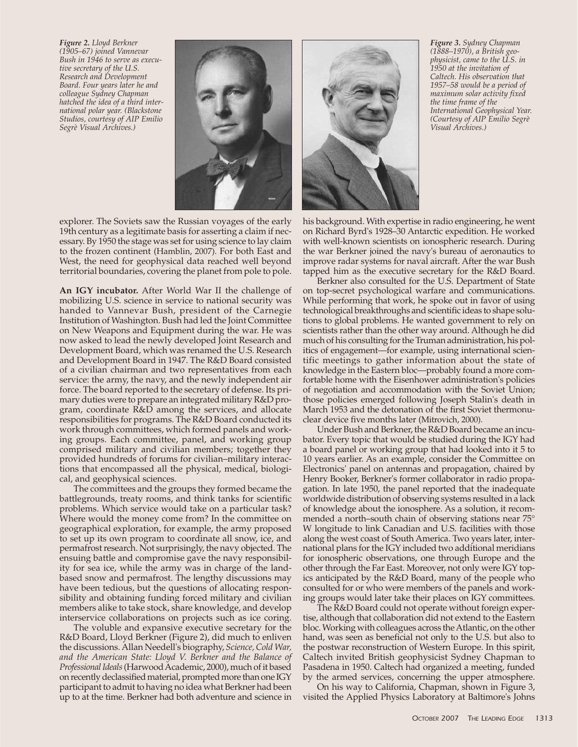*Figure 2. Lloyd Berkner (1905–67) joined Vannevar Bush in 1946 to serve as executive secretary of the U.S. Research and Development Board. Four years later he and colleague Sydney Chapman hatched the idea of a third international polar year. (Blackstone Studios, courtesy of AIP Emilio Segrè Visual Archives.)*



explorer. The Soviets saw the Russian voyages of the early 19th century as a legitimate basis for asserting a claim if necessary. By 1950 the stage was set for using science to lay claim to the frozen continent (Hamblin, 2007). For both East and West, the need for geophysical data reached well beyond territorial boundaries, covering the planet from pole to pole.

**An IGY incubator.** After World War II the challenge of mobilizing U.S. science in service to national security was handed to Vannevar Bush, president of the Carnegie Institution of Washington. Bush had led the Joint Committee on New Weapons and Equipment during the war. He was now asked to lead the newly developed Joint Research and Development Board, which was renamed the U.S. Research and Development Board in 1947. The R&D Board consisted of a civilian chairman and two representatives from each service: the army, the navy, and the newly independent air force. The board reported to the secretary of defense. Its primary duties were to prepare an integrated military R&D program, coordinate R&D among the services, and allocate responsibilities for programs. The R&D Board conducted its work through committees, which formed panels and working groups. Each committee, panel, and working group comprised military and civilian members; together they provided hundreds of forums for civilian–military interactions that encompassed all the physical, medical, biological, and geophysical sciences.

The committees and the groups they formed became the battlegrounds, treaty rooms, and think tanks for scientific problems. Which service would take on a particular task? Where would the money come from? In the committee on geographical exploration, for example, the army proposed to set up its own program to coordinate all snow, ice, and permafrost research. Not surprisingly, the navy objected. The ensuing battle and compromise gave the navy responsibility for sea ice, while the army was in charge of the landbased snow and permafrost. The lengthy discussions may have been tedious, but the questions of allocating responsibility and obtaining funding forced military and civilian members alike to take stock, share knowledge, and develop interservice collaborations on projects such as ice coring.

The voluble and expansive executive secretary for the R&D Board, Lloyd Berkner (Figure 2), did much to enliven the discussions. Allan Needell's biography, *Science, Cold War, and the American State: Lloyd V. Berkner and the Balance of Professional Ideals*(Harwood Academic, 2000), much of it based on recently declassified material, prompted more than one IGY participant to admit to having no idea what Berkner had been up to at the time. Berkner had both adventure and science in



*Figure 3. Sydney Chapman (1888–1970), a British geophysicist, came to the U.S. in 1950 at the invitation of Caltech. His observation that 1957–58 would be a period of maximum solar activity fixed the time frame of the International Geophysical Year. (Courtesy of AIP Emilio Segrè Visual Archives.)*

his background. With expertise in radio engineering, he went on Richard Byrd's 1928–30 Antarctic expedition. He worked with well-known scientists on ionospheric research. During the war Berkner joined the navy's bureau of aeronautics to improve radar systems for naval aircraft. After the war Bush tapped him as the executive secretary for the R&D Board.

Berkner also consulted for the U.S. Department of State on top-secret psychological warfare and communications. While performing that work, he spoke out in favor of using technological breakthroughs and scientific ideas to shape solutions to global problems. He wanted government to rely on scientists rather than the other way around. Although he did much of his consulting for the Truman administration, his politics of engagement—for example, using international scientific meetings to gather information about the state of knowledge in the Eastern bloc—probably found a more comfortable home with the Eisenhower administration's policies of negotiation and accommodation with the Soviet Union; those policies emerged following Joseph Stalin's death in March 1953 and the detonation of the first Soviet thermonuclear device five months later (Mitrovich, 2000).

Under Bush and Berkner, the R&D Board became an incubator. Every topic that would be studied during the IGY had a board panel or working group that had looked into it 5 to 10 years earlier. As an example, consider the Committee on Electronics' panel on antennas and propagation, chaired by Henry Booker, Berkner's former collaborator in radio propagation. In late 1950, the panel reported that the inadequate worldwide distribution of observing systems resulted in a lack of knowledge about the ionosphere. As a solution, it recommended a north–south chain of observing stations near 75° W longitude to link Canadian and U.S. facilities with those along the west coast of South America. Two years later, international plans for the IGY included two additional meridians for ionospheric observations, one through Europe and the other through the Far East. Moreover, not only were IGY topics anticipated by the R&D Board, many of the people who consulted for or who were members of the panels and working groups would later take their places on IGY committees.

The R&D Board could not operate without foreign expertise, although that collaboration did not extend to the Eastern bloc. Working with colleagues across the Atlantic, on the other hand, was seen as beneficial not only to the U.S. but also to the postwar reconstruction of Western Europe. In this spirit, Caltech invited British geophysicist Sydney Chapman to Pasadena in 1950. Caltech had organized a meeting, funded by the armed services, concerning the upper atmosphere.

On his way to California, Chapman, shown in Figure 3, visited the Applied Physics Laboratory at Baltimore's Johns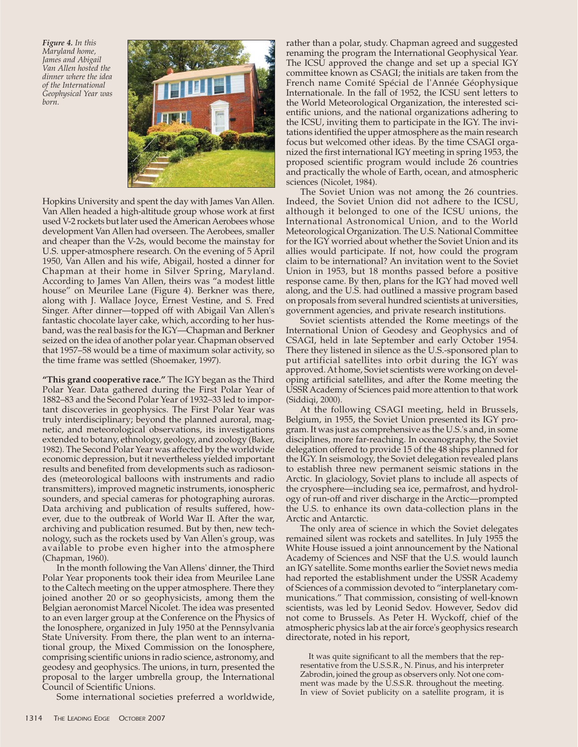*Figure 4. In this Maryland home, James and Abigail Van Allen hosted the dinner where the idea of the International Geophysical Year was born.*



Hopkins University and spent the day with James Van Allen. Van Allen headed a high-altitude group whose work at first used V-2 rockets but later used the American Aerobees whose development Van Allen had overseen. The Aerobees, smaller and cheaper than the V-2s, would become the mainstay for U.S. upper-atmosphere research. On the evening of 5 April 1950, Van Allen and his wife, Abigail, hosted a dinner for Chapman at their home in Silver Spring, Maryland. According to James Van Allen, theirs was "a modest little house" on Meurilee Lane (Figure 4). Berkner was there, along with J. Wallace Joyce, Ernest Vestine, and S. Fred Singer. After dinner—topped off with Abigail Van Allen's fantastic chocolate layer cake, which, according to her husband, was the real basis for the IGY—Chapman and Berkner seized on the idea of another polar year. Chapman observed that 1957–58 would be a time of maximum solar activity, so the time frame was settled (Shoemaker, 1997).

**"This grand cooperative race."** The IGY began as the Third Polar Year. Data gathered during the First Polar Year of 1882–83 and the Second Polar Year of 1932–33 led to important discoveries in geophysics. The First Polar Year was truly interdisciplinary; beyond the planned auroral, magnetic, and meteorological observations, its investigations extended to botany, ethnology, geology, and zoology (Baker, 1982). The Second Polar Year was affected by the worldwide economic depression, but it nevertheless yielded important results and benefited from developments such as radiosondes (meteorological balloons with instruments and radio transmitters), improved magnetic instruments, ionospheric sounders, and special cameras for photographing auroras. Data archiving and publication of results suffered, however, due to the outbreak of World War II. After the war, archiving and publication resumed. But by then, new technology, such as the rockets used by Van Allen's group, was available to probe even higher into the atmosphere (Chapman, 1960).

In the month following the Van Allens' dinner, the Third Polar Year proponents took their idea from Meurilee Lane to the Caltech meeting on the upper atmosphere. There they joined another 20 or so geophysicists, among them the Belgian aeronomist Marcel Nicolet. The idea was presented to an even larger group at the Conference on the Physics of the Ionosphere, organized in July 1950 at the Pennsylvania State University. From there, the plan went to an international group, the Mixed Commission on the Ionosphere, comprising scientific unions in radio science, astronomy, and geodesy and geophysics. The unions, in turn, presented the proposal to the larger umbrella group, the International Council of Scientific Unions.

Some international societies preferred a worldwide,

rather than a polar, study. Chapman agreed and suggested renaming the program the International Geophysical Year. The ICSU approved the change and set up a special IGY committee known as CSAGI; the initials are taken from the French name Comité Spécial de l'Année Géophysique Internationale. In the fall of 1952, the ICSU sent letters to the World Meteorological Organization, the interested scientific unions, and the national organizations adhering to the ICSU, inviting them to participate in the IGY. The invitations identified the upper atmosphere as the main research focus but welcomed other ideas. By the time CSAGI organized the first international IGY meeting in spring 1953, the proposed scientific program would include 26 countries and practically the whole of Earth, ocean, and atmospheric sciences (Nicolet, 1984).

The Soviet Union was not among the 26 countries. Indeed, the Soviet Union did not adhere to the ICSU, although it belonged to one of the ICSU unions, the International Astronomical Union, and to the World Meteorological Organization. The U.S. National Committee for the IGY worried about whether the Soviet Union and its allies would participate. If not, how could the program claim to be international? An invitation went to the Soviet Union in 1953, but 18 months passed before a positive response came. By then, plans for the IGY had moved well along, and the U.S. had outlined a massive program based on proposals from several hundred scientists at universities, government agencies, and private research institutions.

Soviet scientists attended the Rome meetings of the International Union of Geodesy and Geophysics and of CSAGI, held in late September and early October 1954. There they listened in silence as the U.S.-sponsored plan to put artificial satellites into orbit during the IGY was approved. At home, Soviet scientists were working on developing artificial satellites, and after the Rome meeting the USSR Academy of Sciences paid more attention to that work (Siddiqi, 2000).

At the following CSAGI meeting, held in Brussels, Belgium, in 1955, the Soviet Union presented its IGY program. It was just as comprehensive as the U.S.'s and, in some disciplines, more far-reaching. In oceanography, the Soviet delegation offered to provide 15 of the 48 ships planned for the IGY. In seismology, the Soviet delegation revealed plans to establish three new permanent seismic stations in the Arctic. In glaciology, Soviet plans to include all aspects of the cryosphere—including sea ice, permafrost, and hydrology of run-off and river discharge in the Arctic—prompted the U.S. to enhance its own data-collection plans in the Arctic and Antarctic.

The only area of science in which the Soviet delegates remained silent was rockets and satellites. In July 1955 the White House issued a joint announcement by the National Academy of Sciences and NSF that the U.S. would launch an IGY satellite. Some months earlier the Soviet news media had reported the establishment under the USSR Academy of Sciences of a commission devoted to "interplanetary communications." That commission, consisting of well-known scientists, was led by Leonid Sedov. However, Sedov did not come to Brussels. As Peter H. Wyckoff, chief of the atmospheric physics lab at the air force's geophysics research directorate, noted in his report,

It was quite significant to all the members that the representative from the U.S.S.R., N. Pinus, and his interpreter Zabrodin, joined the group as observers only. Not one comment was made by the U.S.S.R. throughout the meeting. In view of Soviet publicity on a satellite program, it is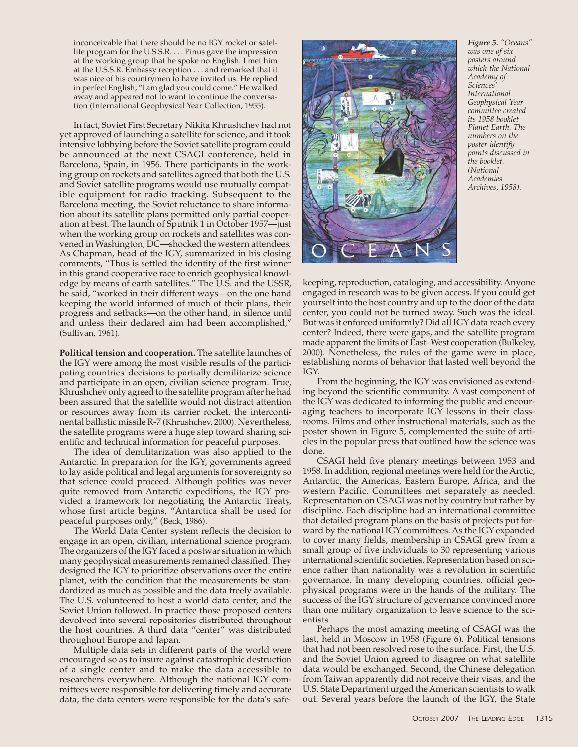inconceivable that there should be no IGY rocket or satellite program for the U.S.S.R. . . . Pinus gave the impression at the working group that he spoke no English. I met him at the U.S.S.R. Embassy reception . . . and remarked that it was nice of his countrymen to have invited us. He replied in perfect English, "I am glad you could come." He walked away and appeared not to want to continue the conversation (International Geophysical Year Collection, 1955).

In fact, Soviet First Secretary Nikita Khrushchev had not yet approved of launching a satellite for science, and it took intensive lobbying before the Soviet satellite program could be announced at the next CSAGI conference, held in Barcelona, Spain, in 1956. There participants in the working group on rockets and satellites agreed that both the U.S. and Soviet satellite programs would use mutually compatible equipment for radio tracking. Subsequent to the Barcelona meeting, the Soviet reluctance to share information about its satellite plans permitted only partial cooperation at best. The launch of Sputnik 1 in October 1957—just when the working group on rockets and satellites was convened in Washington, DC—shocked the western attendees. As Chapman, head of the IGY, summarized in his closing comments, "Thus is settled the identity of the first winner in this grand cooperative race to enrich geophysical knowledge by means of earth satellites." The U.S. and the USSR, he said, "worked in their different ways—on the one hand keeping the world informed of much of their plans, their progress and setbacks—on the other hand, in silence until and unless their declared aim had been accomplished," (Sullivan, 1961).

**Political tension and cooperation.** The satellite launches of the IGY were among the most visible results of the participating countries' decisions to partially demilitarize science and participate in an open, civilian science program. True, Khrushchev only agreed to the satellite program after he had been assured that the satellite would not distract attention or resources away from its carrier rocket, the intercontinental ballistic missile R-7 (Khrushchev, 2000). Nevertheless, the satellite programs were a huge step toward sharing scientific and technical information for peaceful purposes.

The idea of demilitarization was also applied to the Antarctic. In preparation for the IGY, governments agreed to lay aside political and legal arguments for sovereignty so that science could proceed. Although politics was never quite removed from Antarctic expeditions, the IGY provided a framework for negotiating the Antarctic Treaty, whose first article begins, "Antarctica shall be used for peaceful purposes only," (Beck, 1986).

The World Data Center system reflects the decision to engage in an open, civilian, international science program. The organizers of the IGY faced a postwar situation in which many geophysical measurements remained classified. They designed the IGY to prioritize observations over the entire planet, with the condition that the measurements be standardized as much as possible and the data freely available. The U.S. volunteered to host a world data center, and the Soviet Union followed. In practice those proposed centers devolved into several repositories distributed throughout the host countries. A third data "center" was distributed throughout Europe and Japan.

Multiple data sets in different parts of the world were encouraged so as to insure against catastrophic destruction of a single center and to make the data accessible to researchers everywhere. Although the national IGY committees were responsible for delivering timely and accurate data, the data centers were responsible for the data's safe-



*Figure 5. "Oceans" was one of six posters around which the National Academy of Sciences' International Geophysical Year committee created its 1958 booklet Planet Earth. The numbers on the poster identify points discussed in the booklet. (National Academies Archives, 1958).*

keeping, reproduction, cataloging, and accessibility. Anyone engaged in research was to be given access. If you could get yourself into the host country and up to the door of the data center, you could not be turned away. Such was the ideal. But was it enforced uniformly? Did all IGY data reach every center? Indeed, there were gaps, and the satellite program made apparent the limits of East–West cooperation (Bulkeley, 2000). Nonetheless, the rules of the game were in place, establishing norms of behavior that lasted well beyond the IGY.

From the beginning, the IGY was envisioned as extending beyond the scientific community. A vast component of the IGY was dedicated to informing the public and encouraging teachers to incorporate IGY lessons in their classrooms. Films and other instructional materials, such as the poster shown in Figure 5, complemented the suite of articles in the popular press that outlined how the science was done.

CSAGI held five plenary meetings between 1953 and 1958. In addition, regional meetings were held for the Arctic, Antarctic, the Americas, Eastern Europe, Africa, and the western Pacific. Committees met separately as needed. Representation on CSAGI was not by country but rather by discipline. Each discipline had an international committee that detailed program plans on the basis of projects put forward by the national IGY committees. As the IGY expanded to cover many fields, membership in CSAGI grew from a small group of five individuals to 30 representing various international scientific societies. Representation based on science rather than nationality was a revolution in scientific governance. In many developing countries, official geophysical programs were in the hands of the military. The success of the IGY structure of governance convinced more than one military organization to leave science to the scientists.

Perhaps the most amazing meeting of CSAGI was the last, held in Moscow in 1958 (Figure 6). Political tensions that had not been resolved rose to the surface. First, the U.S. and the Soviet Union agreed to disagree on what satellite data would be exchanged. Second, the Chinese delegation from Taiwan apparently did not receive their visas, and the U.S. State Department urged the American scientists to walk out. Several years before the launch of the IGY, the State